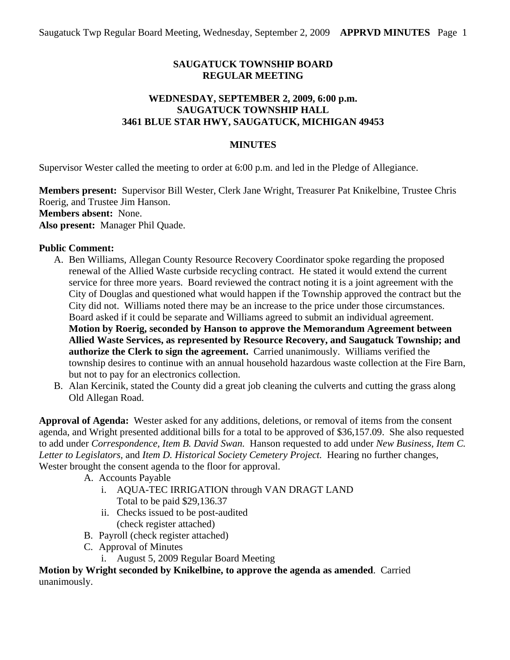# **SAUGATUCK TOWNSHIP BOARD REGULAR MEETING**

### **WEDNESDAY, SEPTEMBER 2, 2009, 6:00 p.m. SAUGATUCK TOWNSHIP HALL 3461 BLUE STAR HWY, SAUGATUCK, MICHIGAN 49453**

# **MINUTES**

Supervisor Wester called the meeting to order at 6:00 p.m. and led in the Pledge of Allegiance.

**Members present:** Supervisor Bill Wester, Clerk Jane Wright, Treasurer Pat Knikelbine, Trustee Chris Roerig, and Trustee Jim Hanson. **Members absent:** None. **Also present:** Manager Phil Quade.

# **Public Comment:**

- A. Ben Williams, Allegan County Resource Recovery Coordinator spoke regarding the proposed renewal of the Allied Waste curbside recycling contract. He stated it would extend the current service for three more years. Board reviewed the contract noting it is a joint agreement with the City of Douglas and questioned what would happen if the Township approved the contract but the City did not. Williams noted there may be an increase to the price under those circumstances. Board asked if it could be separate and Williams agreed to submit an individual agreement. **Motion by Roerig, seconded by Hanson to approve the Memorandum Agreement between Allied Waste Services, as represented by Resource Recovery, and Saugatuck Township; and authorize the Clerk to sign the agreement.** Carried unanimously. Williams verified the township desires to continue with an annual household hazardous waste collection at the Fire Barn, but not to pay for an electronics collection.
- B. Alan Kercinik, stated the County did a great job cleaning the culverts and cutting the grass along Old Allegan Road.

**Approval of Agenda:** Wester asked for any additions, deletions, or removal of items from the consent agenda, and Wright presented additional bills for a total to be approved of \$36,157.09. She also requested to add under *Correspondence, Item B. David Swan.* Hanson requested to add under *New Business, Item C. Letter to Legislators,* and *Item D. Historical Society Cemetery Project.* Hearing no further changes, Wester brought the consent agenda to the floor for approval.

- A. Accounts Payable
	- i. AQUA-TEC IRRIGATION through VAN DRAGT LAND Total to be paid \$29,136.37
	- ii. Checks issued to be post-audited (check register attached)
- B. Payroll (check register attached)
- C. Approval of Minutes
	- i. August 5, 2009 Regular Board Meeting

**Motion by Wright seconded by Knikelbine, to approve the agenda as amended**. Carried unanimously.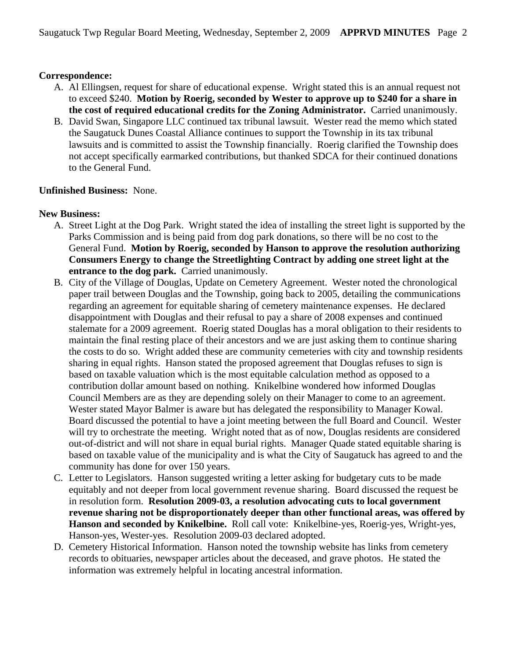### **Correspondence:**

- A. Al Ellingsen, request for share of educational expense. Wright stated this is an annual request not to exceed \$240. **Motion by Roerig, seconded by Wester to approve up to \$240 for a share in the cost of required educational credits for the Zoning Administrator.** Carried unanimously.
- B. David Swan, Singapore LLC continued tax tribunal lawsuit. Wester read the memo which stated the Saugatuck Dunes Coastal Alliance continues to support the Township in its tax tribunal lawsuits and is committed to assist the Township financially. Roerig clarified the Township does not accept specifically earmarked contributions, but thanked SDCA for their continued donations to the General Fund.

#### **Unfinished Business:** None.

#### **New Business:**

- A. Street Light at the Dog Park. Wright stated the idea of installing the street light is supported by the Parks Commission and is being paid from dog park donations, so there will be no cost to the General Fund. **Motion by Roerig, seconded by Hanson to approve the resolution authorizing Consumers Energy to change the Streetlighting Contract by adding one street light at the entrance to the dog park.** Carried unanimously.
- B. City of the Village of Douglas, Update on Cemetery Agreement. Wester noted the chronological paper trail between Douglas and the Township, going back to 2005, detailing the communications regarding an agreement for equitable sharing of cemetery maintenance expenses. He declared disappointment with Douglas and their refusal to pay a share of 2008 expenses and continued stalemate for a 2009 agreement. Roerig stated Douglas has a moral obligation to their residents to maintain the final resting place of their ancestors and we are just asking them to continue sharing the costs to do so. Wright added these are community cemeteries with city and township residents sharing in equal rights. Hanson stated the proposed agreement that Douglas refuses to sign is based on taxable valuation which is the most equitable calculation method as opposed to a contribution dollar amount based on nothing. Knikelbine wondered how informed Douglas Council Members are as they are depending solely on their Manager to come to an agreement. Wester stated Mayor Balmer is aware but has delegated the responsibility to Manager Kowal. Board discussed the potential to have a joint meeting between the full Board and Council. Wester will try to orchestrate the meeting. Wright noted that as of now, Douglas residents are considered out-of-district and will not share in equal burial rights. Manager Quade stated equitable sharing is based on taxable value of the municipality and is what the City of Saugatuck has agreed to and the community has done for over 150 years.
- C. Letter to Legislators. Hanson suggested writing a letter asking for budgetary cuts to be made equitably and not deeper from local government revenue sharing. Board discussed the request be in resolution form. **Resolution 2009-03, a resolution advocating cuts to local government revenue sharing not be disproportionately deeper than other functional areas, was offered by Hanson and seconded by Knikelbine.** Roll call vote: Knikelbine-yes, Roerig-yes, Wright-yes, Hanson-yes, Wester-yes. Resolution 2009-03 declared adopted.
- D. Cemetery Historical Information. Hanson noted the township website has links from cemetery records to obituaries, newspaper articles about the deceased, and grave photos. He stated the information was extremely helpful in locating ancestral information.